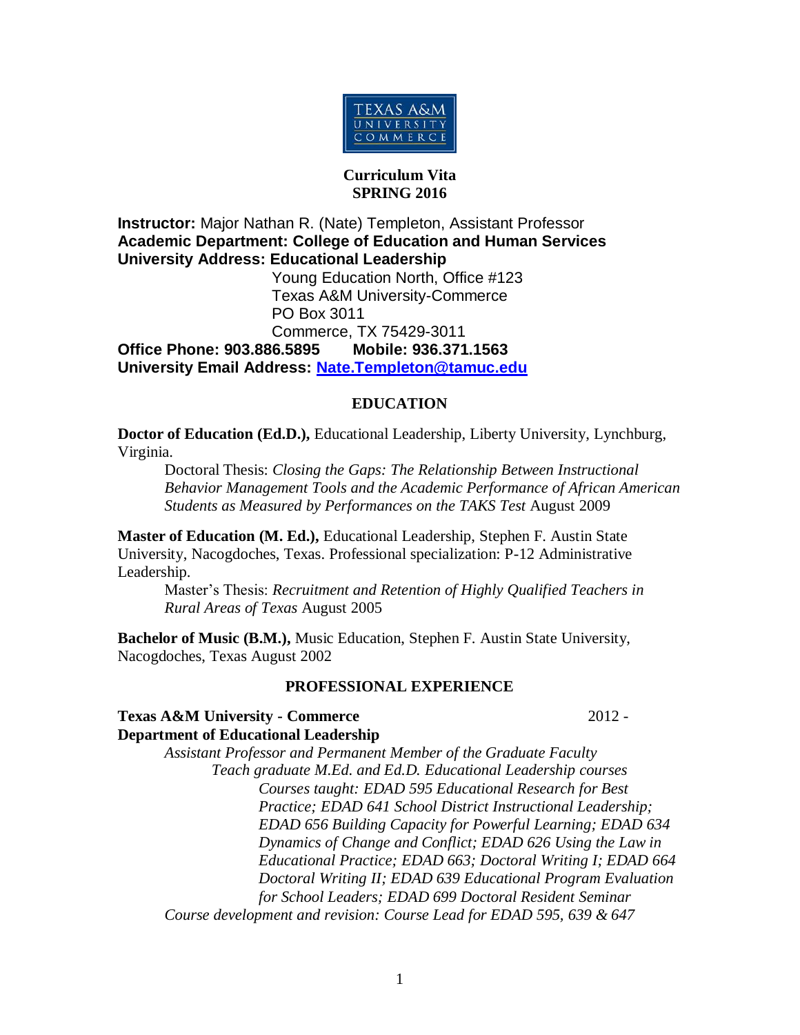

## **Curriculum Vita SPRING 2016**

**Instructor:** Major Nathan R. (Nate) Templeton, Assistant Professor **Academic Department: College of Education and Human Services University Address: Educational Leadership**

 Young Education North, Office #123 Texas A&M University-Commerce PO Box 3011 Commerce, TX 75429-3011

**Office Phone: 903.886.5895 Mobile: 936.371.1563 University Email Address: [Nate.Templeton@tamuc.edu](mailto:Nate.Templeton@tamuc.edu)**

# **EDUCATION**

**Doctor of Education (Ed.D.),** Educational Leadership, Liberty University, Lynchburg, Virginia.

Doctoral Thesis: *Closing the Gaps: The Relationship Between Instructional Behavior Management Tools and the Academic Performance of African American Students as Measured by Performances on the TAKS Test* August 2009

**Master of Education (M. Ed.),** Educational Leadership, Stephen F. Austin State University, Nacogdoches, Texas. Professional specialization: P-12 Administrative Leadership.

Master's Thesis: *Recruitment and Retention of Highly Qualified Teachers in Rural Areas of Texas* August 2005

**Bachelor of Music (B.M.),** Music Education, Stephen F. Austin State University, Nacogdoches, Texas August 2002

# **PROFESSIONAL EXPERIENCE**

**Texas A&M University - Commerce** 2012 - **Department of Educational Leadership**

*Assistant Professor and Permanent Member of the Graduate Faculty Teach graduate M.Ed. and Ed.D. Educational Leadership courses Courses taught: EDAD 595 Educational Research for Best Practice; EDAD 641 School District Instructional Leadership; EDAD 656 Building Capacity for Powerful Learning; EDAD 634 Dynamics of Change and Conflict; EDAD 626 Using the Law in Educational Practice; EDAD 663; Doctoral Writing I; EDAD 664 Doctoral Writing II; EDAD 639 Educational Program Evaluation for School Leaders; EDAD 699 Doctoral Resident Seminar Course development and revision: Course Lead for EDAD 595, 639 & 647*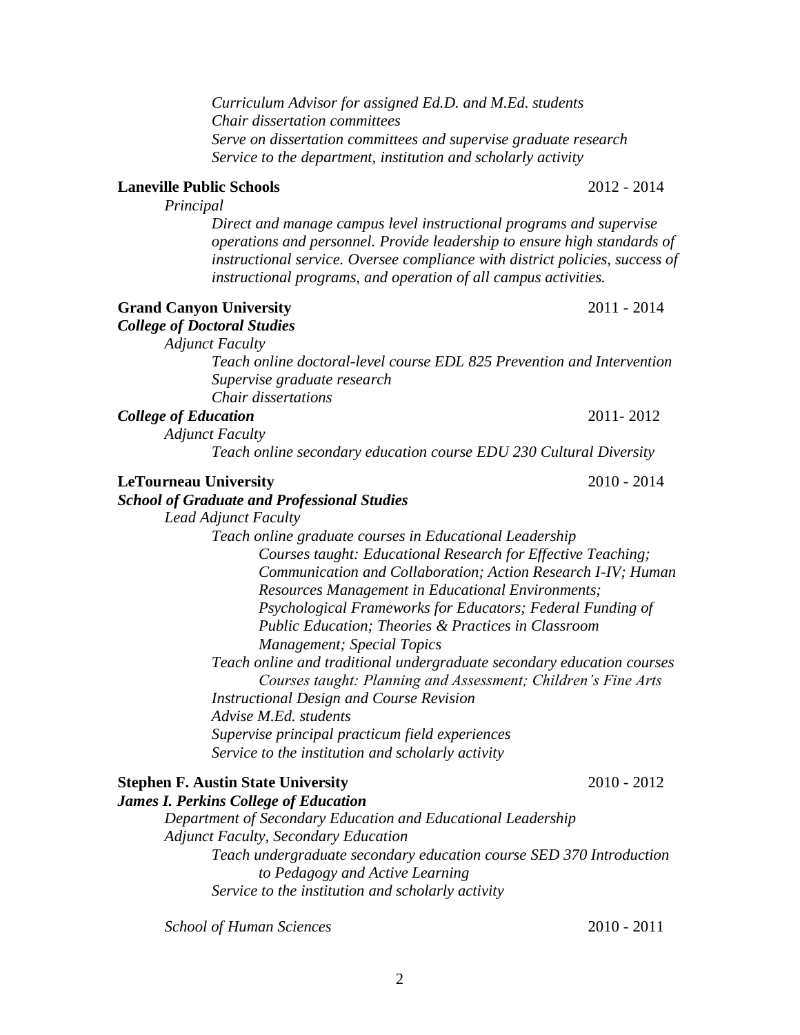*Curriculum Advisor for assigned Ed.D. and M.Ed. students Chair dissertation committees Serve on dissertation committees and supervise graduate research Service to the department, institution and scholarly activity*

## **Laneville Public Schools** 2012 - 2014

*Principal*

*Direct and manage campus level instructional programs and supervise operations and personnel. Provide leadership to ensure high standards of instructional service. Oversee compliance with district policies, success of instructional programs, and operation of all campus activities.*

Grand Canyon University 2011 - 2014 *College of Doctoral Studies*

*Adjunct Faculty*

*Teach online doctoral-level course EDL 825 Prevention and Intervention Supervise graduate research Chair dissertations* 

*College of Education* 2011- 2012

*Adjunct Faculty*

*Teach online secondary education course EDU 230 Cultural Diversity*

| <b>LeTourneau University</b> |  |
|------------------------------|--|
|                              |  |
|                              |  |

#### *School of Graduate and Professional Studies*

*Lead Adjunct Faculty*

*Teach online graduate courses in Educational Leadership Courses taught: Educational Research for Effective Teaching; Communication and Collaboration; Action Research I-IV; Human Resources Management in Educational Environments; Psychological Frameworks for Educators; Federal Funding of Public Education; Theories & Practices in Classroom Management; Special Topics*

*Teach online and traditional undergraduate secondary education courses Courses taught: Planning and Assessment; Children's Fine Arts Instructional Design and Course Revision Advise M.Ed. students Supervise principal practicum field experiences*

*Service to the institution and scholarly activity*

# **Stephen F. Austin State University** 2010 - 2012

*James I. Perkins College of Education*

*Department of Secondary Education and Educational Leadership Adjunct Faculty, Secondary Education Teach undergraduate secondary education course SED 370 Introduction to Pedagogy and Active Learning Service to the institution and scholarly activity*

*School of Human Sciences* 2010 - 2011

**LeTourneau University** 2010 - 2014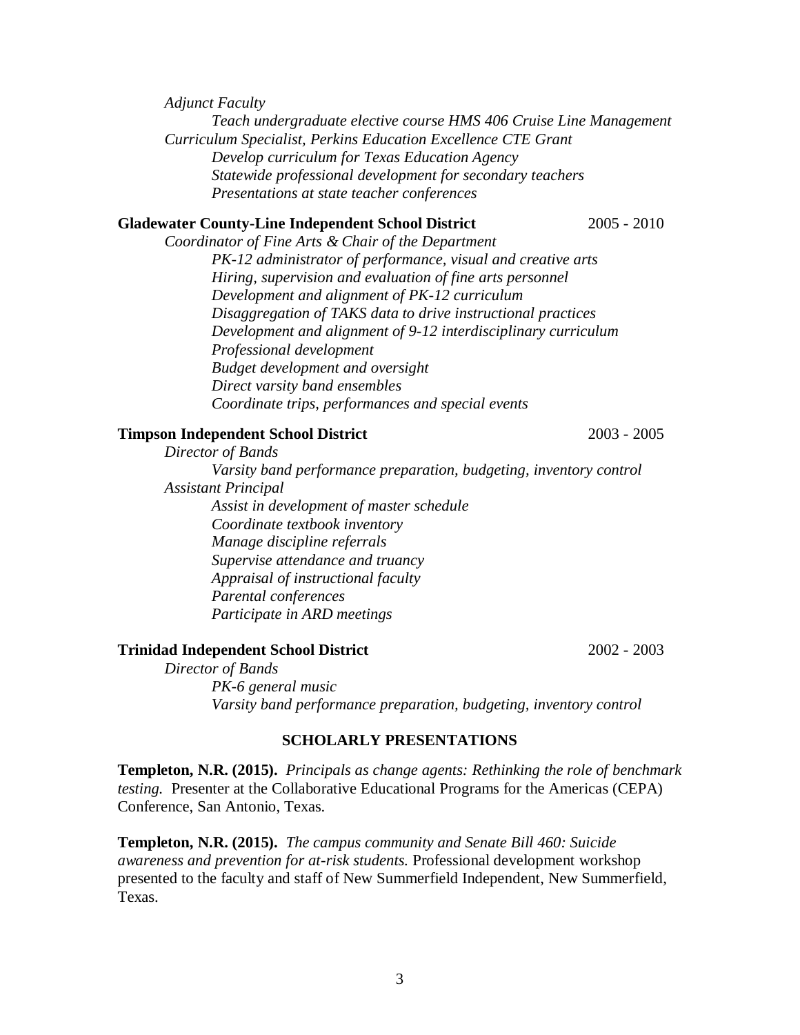*Adjunct Faculty*

*Teach undergraduate elective course HMS 406 Cruise Line Management Curriculum Specialist, Perkins Education Excellence CTE Grant Develop curriculum for Texas Education Agency Statewide professional development for secondary teachers Presentations at state teacher conferences*

## **Gladewater County-Line Independent School District** 2005 - 2010

*Coordinator of Fine Arts & Chair of the Department PK-12 administrator of performance, visual and creative arts Hiring, supervision and evaluation of fine arts personnel Development and alignment of PK-12 curriculum Disaggregation of TAKS data to drive instructional practices Development and alignment of 9-12 interdisciplinary curriculum Professional development Budget development and oversight Direct varsity band ensembles Coordinate trips, performances and special events*

## **Timpson Independent School District** 2003 - 2005

*Director of Bands Varsity band performance preparation, budgeting, inventory control Assistant Principal Assist in development of master schedule Coordinate textbook inventory Manage discipline referrals Supervise attendance and truancy Appraisal of instructional faculty Parental conferences Participate in ARD meetings*

### **Trinidad Independent School District** 2002 - 2003

*Director of Bands PK-6 general music Varsity band performance preparation, budgeting, inventory control*

## **SCHOLARLY PRESENTATIONS**

**Templeton, N.R. (2015).** *Principals as change agents: Rethinking the role of benchmark testing.* Presenter at the Collaborative Educational Programs for the Americas (CEPA) Conference, San Antonio, Texas.

**Templeton, N.R. (2015).** *The campus community and Senate Bill 460: Suicide awareness and prevention for at-risk students.* Professional development workshop presented to the faculty and staff of New Summerfield Independent, New Summerfield, Texas.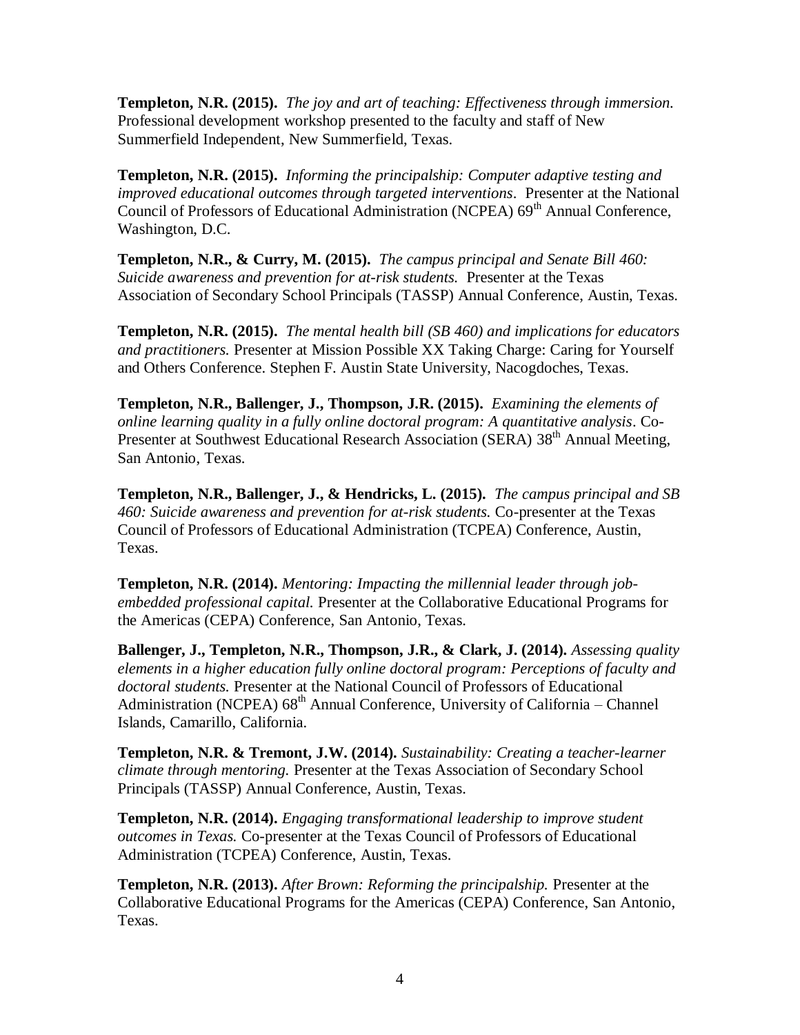**Templeton, N.R. (2015).** *The joy and art of teaching: Effectiveness through immersion.*  Professional development workshop presented to the faculty and staff of New Summerfield Independent, New Summerfield, Texas.

**Templeton, N.R. (2015).** *Informing the principalship: Computer adaptive testing and improved educational outcomes through targeted interventions*. Presenter at the National Council of Professors of Educational Administration (NCPEA) 69<sup>th</sup> Annual Conference, Washington, D.C.

**Templeton, N.R., & Curry, M. (2015).** *The campus principal and Senate Bill 460: Suicide awareness and prevention for at-risk students.* Presenter at the Texas Association of Secondary School Principals (TASSP) Annual Conference, Austin, Texas.

**Templeton, N.R. (2015).** *The mental health bill (SB 460) and implications for educators and practitioners.* Presenter at Mission Possible XX Taking Charge: Caring for Yourself and Others Conference. Stephen F. Austin State University, Nacogdoches, Texas.

**Templeton, N.R., Ballenger, J., Thompson, J.R. (2015).** *Examining the elements of online learning quality in a fully online doctoral program: A quantitative analysis*. Co-Presenter at Southwest Educational Research Association (SERA) 38<sup>th</sup> Annual Meeting, San Antonio, Texas.

**Templeton, N.R., Ballenger, J., & Hendricks, L. (2015).** *The campus principal and SB 460: Suicide awareness and prevention for at-risk students.* Co-presenter at the Texas Council of Professors of Educational Administration (TCPEA) Conference, Austin, Texas.

**Templeton, N.R. (2014).** *Mentoring: Impacting the millennial leader through jobembedded professional capital.* Presenter at the Collaborative Educational Programs for the Americas (CEPA) Conference, San Antonio, Texas.

**Ballenger, J., Templeton, N.R., Thompson, J.R., & Clark, J. (2014).** *Assessing quality elements in a higher education fully online doctoral program: Perceptions of faculty and doctoral students.* Presenter at the National Council of Professors of Educational Administration (NCPEA)  $68<sup>th</sup>$  Annual Conference, University of California – Channel Islands, Camarillo, California.

**Templeton, N.R. & Tremont, J.W. (2014).** *Sustainability: Creating a teacher-learner climate through mentoring.* Presenter at the Texas Association of Secondary School Principals (TASSP) Annual Conference, Austin, Texas.

**Templeton, N.R. (2014).** *Engaging transformational leadership to improve student outcomes in Texas.* Co-presenter at the Texas Council of Professors of Educational Administration (TCPEA) Conference, Austin, Texas.

**Templeton, N.R. (2013).** *After Brown: Reforming the principalship.* Presenter at the Collaborative Educational Programs for the Americas (CEPA) Conference, San Antonio, Texas.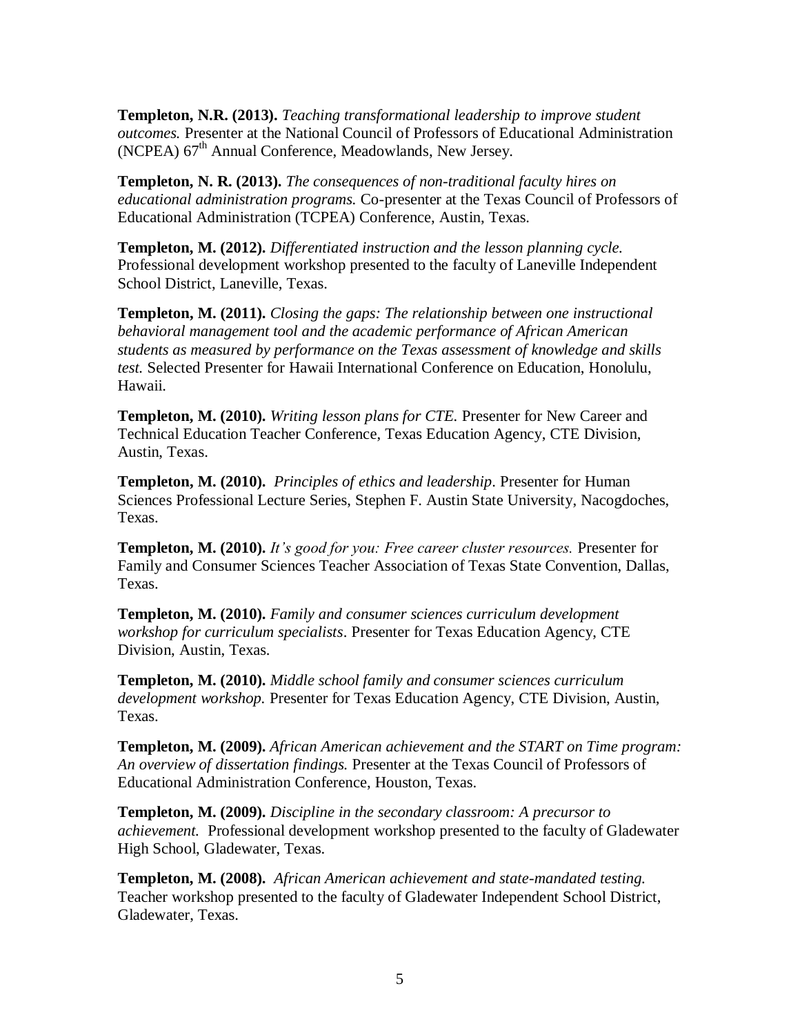**Templeton, N.R. (2013).** *Teaching transformational leadership to improve student outcomes.* Presenter at the National Council of Professors of Educational Administration (NCPEA)  $67<sup>th</sup>$  Annual Conference, Meadowlands, New Jersey.

**Templeton, N. R. (2013).** *The consequences of non-traditional faculty hires on educational administration programs.* Co-presenter at the Texas Council of Professors of Educational Administration (TCPEA) Conference, Austin, Texas.

**Templeton, M. (2012).** *Differentiated instruction and the lesson planning cycle.*  Professional development workshop presented to the faculty of Laneville Independent School District, Laneville, Texas.

**Templeton, M. (2011).** *Closing the gaps: The relationship between one instructional behavioral management tool and the academic performance of African American students as measured by performance on the Texas assessment of knowledge and skills test.* Selected Presenter for Hawaii International Conference on Education, Honolulu, Hawaii.

**Templeton, M. (2010).** *Writing lesson plans for CTE.* Presenter for New Career and Technical Education Teacher Conference, Texas Education Agency, CTE Division, Austin, Texas.

**Templeton, M. (2010).** *Principles of ethics and leadership*. Presenter for Human Sciences Professional Lecture Series, Stephen F. Austin State University, Nacogdoches, Texas.

**Templeton, M. (2010).** *It's good for you: Free career cluster resources.* Presenter for Family and Consumer Sciences Teacher Association of Texas State Convention, Dallas, Texas.

**Templeton, M. (2010).** *Family and consumer sciences curriculum development workshop for curriculum specialists*. Presenter for Texas Education Agency, CTE Division, Austin, Texas.

**Templeton, M. (2010).** *Middle school family and consumer sciences curriculum development workshop.* Presenter for Texas Education Agency, CTE Division, Austin, Texas.

**Templeton, M. (2009).** *African American achievement and the START on Time program: An overview of dissertation findings.* Presenter at the Texas Council of Professors of Educational Administration Conference, Houston, Texas.

**Templeton, M. (2009).** *Discipline in the secondary classroom: A precursor to achievement.* Professional development workshop presented to the faculty of Gladewater High School, Gladewater, Texas.

**Templeton, M. (2008).** *African American achievement and state-mandated testing.*  Teacher workshop presented to the faculty of Gladewater Independent School District, Gladewater, Texas.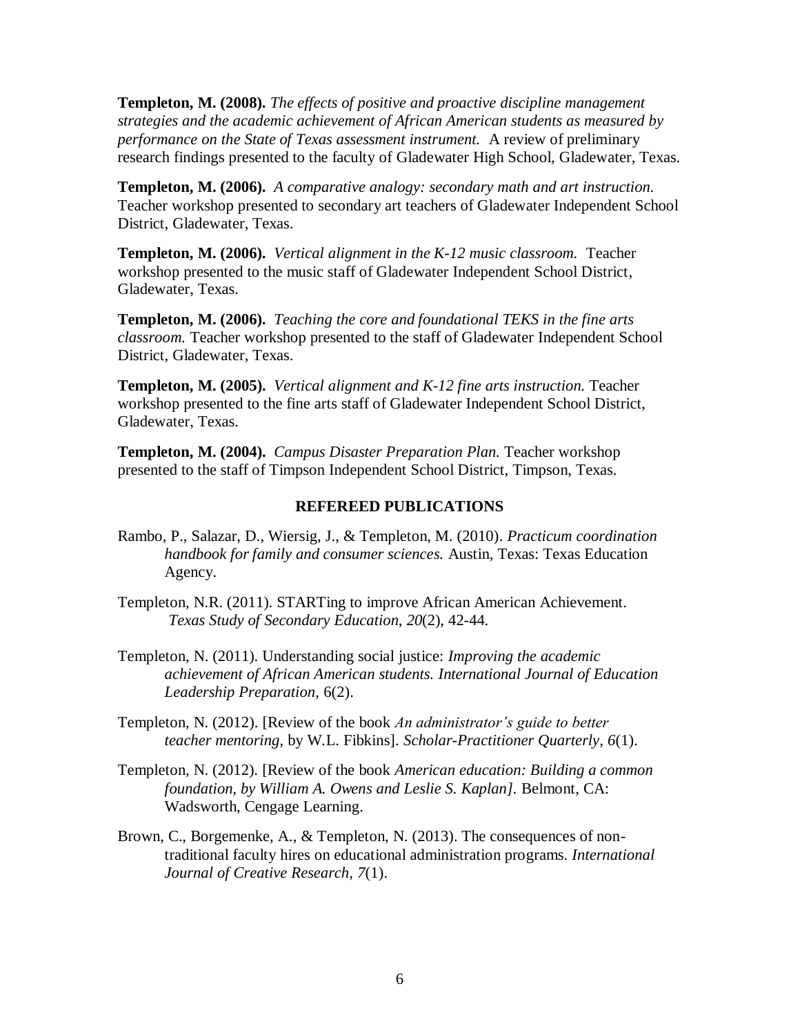**Templeton, M. (2008).** *The effects of positive and proactive discipline management strategies and the academic achievement of African American students as measured by performance on the State of Texas assessment instrument.* A review of preliminary research findings presented to the faculty of Gladewater High School, Gladewater, Texas.

**Templeton, M. (2006).** *A comparative analogy: secondary math and art instruction.*  Teacher workshop presented to secondary art teachers of Gladewater Independent School District, Gladewater, Texas.

**Templeton, M. (2006).** *Vertical alignment in the K-12 music classroom.* Teacher workshop presented to the music staff of Gladewater Independent School District, Gladewater, Texas.

**Templeton, M. (2006).** *Teaching the core and foundational TEKS in the fine arts classroom.* Teacher workshop presented to the staff of Gladewater Independent School District, Gladewater, Texas.

**Templeton, M. (2005).** *Vertical alignment and K-12 fine arts instruction.* Teacher workshop presented to the fine arts staff of Gladewater Independent School District, Gladewater, Texas.

**Templeton, M. (2004).** *Campus Disaster Preparation Plan.* Teacher workshop presented to the staff of Timpson Independent School District, Timpson, Texas.

## **REFEREED PUBLICATIONS**

- Rambo, P., Salazar, D., Wiersig, J., & Templeton, M. (2010). *Practicum coordination handbook for family and consumer sciences.* Austin, Texas: Texas Education Agency.
- Templeton, N.R. (2011). STARTing to improve African American Achievement*. Texas Study of Secondary Education*, *20*(2), 42-44.
- Templeton, N. (2011). Understanding social justice: *Improving the academic achievement of African American students. International Journal of Education Leadership Preparation*, 6(2).
- Templeton, N. (2012). [Review of the book *An administrator's guide to better teacher mentoring*, by W.L. Fibkins]. *Scholar-Practitioner Quarterly, 6*(1).
- Templeton, N. (2012). [Review of the book *American education: Building a common foundation, by William A. Owens and Leslie S. Kaplan].* Belmont, CA: Wadsworth, Cengage Learning.
- Brown, C., Borgemenke, A., & Templeton, N. (2013). The consequences of nontraditional faculty hires on educational administration programs. *International Journal of Creative Research, 7*(1).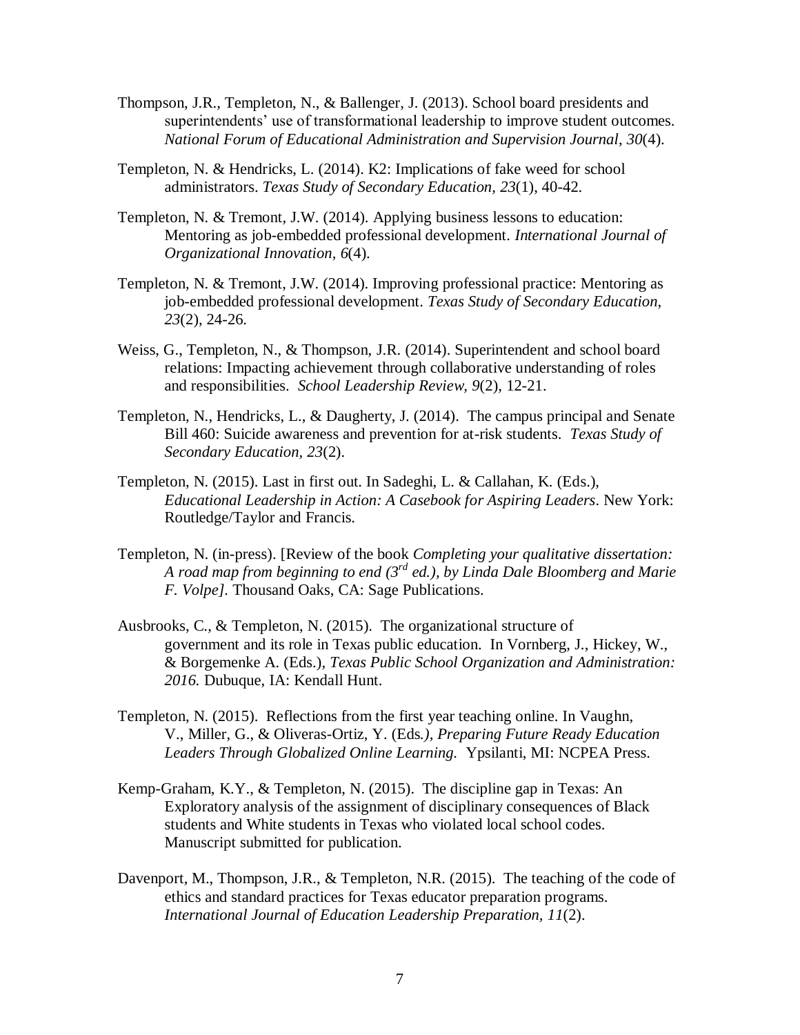- Thompson, J.R., Templeton, N., & Ballenger, J. (2013). School board presidents and superintendents' use of transformational leadership to improve student outcomes. *National Forum of Educational Administration and Supervision Journal*, *30*(4).
- Templeton, N. & Hendricks, L. (2014). K2: Implications of fake weed for school administrators. *Texas Study of Secondary Education, 23*(1), 40-42.
- Templeton, N. & Tremont, J.W. (2014). Applying business lessons to education: Mentoring as job-embedded professional development. *International Journal of Organizational Innovation, 6*(4).
- Templeton, N. & Tremont, J.W. (2014). Improving professional practice: Mentoring as job-embedded professional development. *Texas Study of Secondary Education, 23*(2), 24-26.
- Weiss, G., Templeton, N., & Thompson, J.R. (2014). Superintendent and school board relations: Impacting achievement through collaborative understanding of roles and responsibilities. *School Leadership Review, 9*(2), 12-21.
- Templeton, N., Hendricks, L., & Daugherty, J. (2014). The campus principal and Senate Bill 460: Suicide awareness and prevention for at-risk students. *Texas Study of Secondary Education, 23*(2).
- Templeton, N. (2015). Last in first out. In Sadeghi, L. & Callahan, K. (Eds.), *Educational Leadership in Action: A Casebook for Aspiring Leaders*. New York: Routledge/Taylor and Francis.
- Templeton, N. (in-press). [Review of the book *Completing your qualitative dissertation: A road map from beginning to end (3rd ed.), by Linda Dale Bloomberg and Marie F. Volpe].* Thousand Oaks, CA: Sage Publications.
- Ausbrooks, C., & Templeton, N. (2015). The organizational structure of government and its role in Texas public education. In Vornberg, J., Hickey, W., & Borgemenke A. (Eds.), *Texas Public School Organization and Administration: 2016.* Dubuque, IA: Kendall Hunt.
- Templeton, N. (2015). Reflections from the first year teaching online. In Vaughn, V., Miller, G., & Oliveras-Ortiz, Y. (Eds*.), Preparing Future Ready Education Leaders Through Globalized Online Learning.* Ypsilanti, MI: NCPEA Press.
- Kemp-Graham, K.Y., & Templeton, N. (2015). The discipline gap in Texas: An Exploratory analysis of the assignment of disciplinary consequences of Black students and White students in Texas who violated local school codes. Manuscript submitted for publication.
- Davenport, M., Thompson, J.R., & Templeton, N.R. (2015). The teaching of the code of ethics and standard practices for Texas educator preparation programs. *International Journal of Education Leadership Preparation, 11*(2).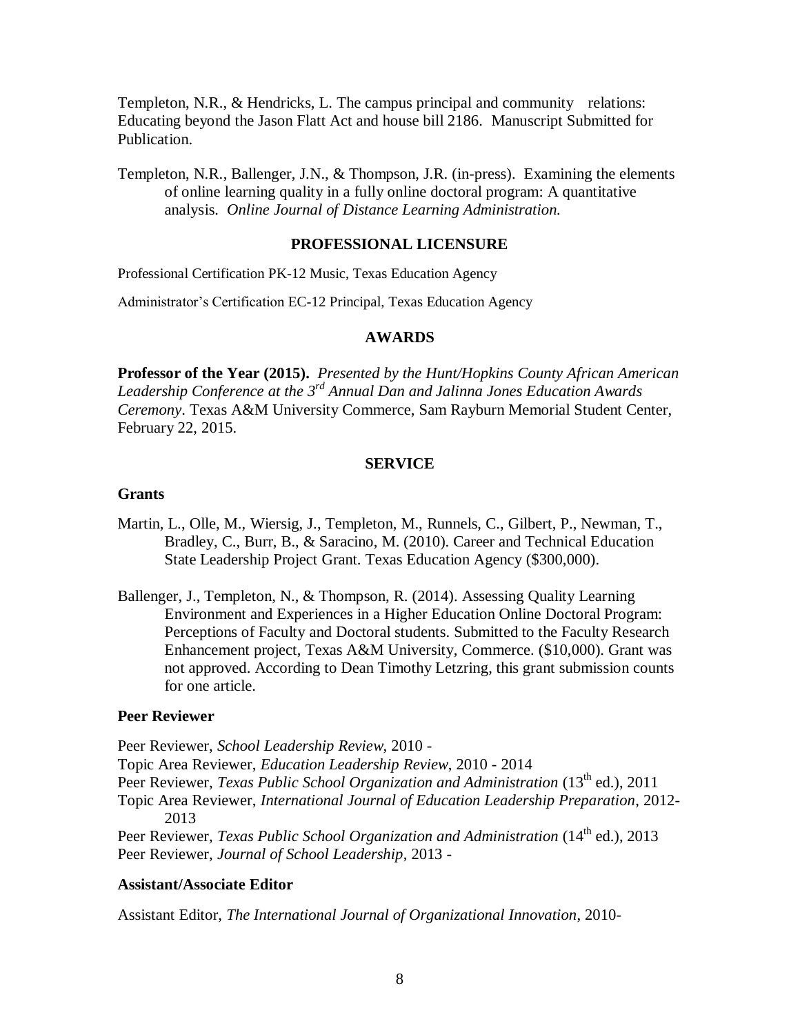Templeton, N.R., & Hendricks, L. The campus principal and community relations: Educating beyond the Jason Flatt Act and house bill 2186. Manuscript Submitted for Publication.

Templeton, N.R., Ballenger, J.N., & Thompson, J.R. (in-press). Examining the elements of online learning quality in a fully online doctoral program: A quantitative analysis. *Online Journal of Distance Learning Administration.* 

### **PROFESSIONAL LICENSURE**

Professional Certification PK-12 Music, Texas Education Agency

Administrator's Certification EC-12 Principal, Texas Education Agency

### **AWARDS**

**Professor of the Year (2015).** *Presented by the Hunt/Hopkins County African American*  Leadership Conference at the 3<sup>rd</sup> Annual Dan and Jalinna Jones Education Awards *Ceremony*. Texas A&M University Commerce, Sam Rayburn Memorial Student Center, February 22, 2015.

### **SERVICE**

#### **Grants**

- Martin, L., Olle, M., Wiersig, J., Templeton, M., Runnels, C., Gilbert, P., Newman, T., Bradley, C., Burr, B., & Saracino, M. (2010). Career and Technical Education State Leadership Project Grant. Texas Education Agency (\$300,000).
- Ballenger, J., Templeton, N., & Thompson, R. (2014). Assessing Quality Learning Environment and Experiences in a Higher Education Online Doctoral Program: Perceptions of Faculty and Doctoral students. Submitted to the Faculty Research Enhancement project, Texas A&M University, Commerce. (\$10,000). Grant was not approved. According to Dean Timothy Letzring, this grant submission counts for one article.

## **Peer Reviewer**

Peer Reviewer, *School Leadership Review*, 2010 -

Topic Area Reviewer, *Education Leadership Review*, 2010 - 2014

Peer Reviewer, *Texas Public School Organization and Administration* (13<sup>th</sup> ed.). 2011

Topic Area Reviewer, *International Journal of Education Leadership Preparation*, 2012- 2013

Peer Reviewer, *Texas Public School Organization and Administration* (14<sup>th</sup> ed.), 2013 Peer Reviewer, *Journal of School Leadership*, 2013 -

#### **Assistant/Associate Editor**

Assistant Editor, *The International Journal of Organizational Innovation*, 2010-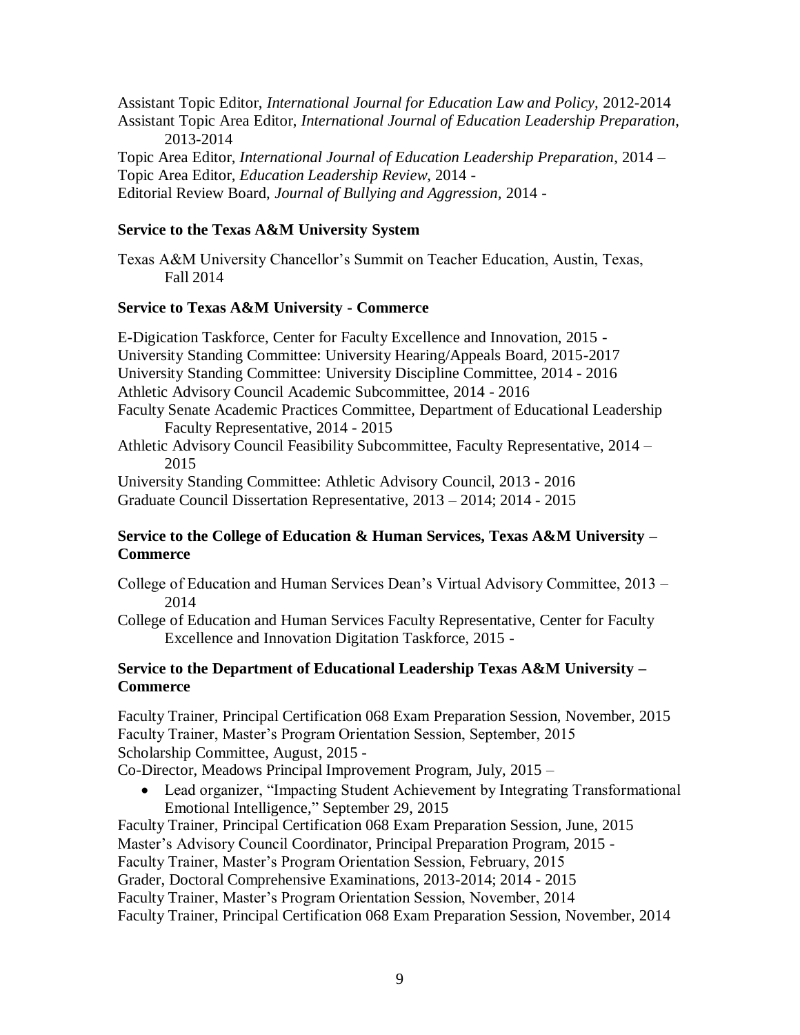Assistant Topic Editor, *International Journal for Education Law and Policy,* 2012-2014 Assistant Topic Area Editor, *International Journal of Education Leadership Preparation*, 2013-2014 Topic Area Editor, *International Journal of Education Leadership Preparation*, 2014 – Topic Area Editor, *Education Leadership Review*, 2014 - Editorial Review Board, *Journal of Bullying and Aggression,* 2014 -

## **Service to the Texas A&M University System**

Texas A&M University Chancellor's Summit on Teacher Education, Austin, Texas, Fall 2014

## **Service to Texas A&M University - Commerce**

E-Digication Taskforce, Center for Faculty Excellence and Innovation, 2015 - University Standing Committee: University Hearing/Appeals Board, 2015-2017 University Standing Committee: University Discipline Committee, 2014 - 2016 Athletic Advisory Council Academic Subcommittee, 2014 - 2016 Faculty Senate Academic Practices Committee, Department of Educational Leadership Faculty Representative, 2014 - 2015 Athletic Advisory Council Feasibility Subcommittee, Faculty Representative, 2014 – 2015

University Standing Committee: Athletic Advisory Council, 2013 - 2016 Graduate Council Dissertation Representative, 2013 – 2014; 2014 - 2015

## **Service to the College of Education & Human Services, Texas A&M University – Commerce**

College of Education and Human Services Dean's Virtual Advisory Committee, 2013 – 2014

College of Education and Human Services Faculty Representative, Center for Faculty Excellence and Innovation Digitation Taskforce, 2015 -

## **Service to the Department of Educational Leadership Texas A&M University – Commerce**

Faculty Trainer, Principal Certification 068 Exam Preparation Session, November, 2015 Faculty Trainer, Master's Program Orientation Session, September, 2015 Scholarship Committee, August, 2015 -

Co-Director, Meadows Principal Improvement Program, July, 2015 –

 Lead organizer, "Impacting Student Achievement by Integrating Transformational Emotional Intelligence," September 29, 2015

Faculty Trainer, Principal Certification 068 Exam Preparation Session, June, 2015 Master's Advisory Council Coordinator, Principal Preparation Program, 2015 - Faculty Trainer, Master's Program Orientation Session, February, 2015 Grader, Doctoral Comprehensive Examinations, 2013-2014; 2014 - 2015 Faculty Trainer, Master's Program Orientation Session, November, 2014 Faculty Trainer, Principal Certification 068 Exam Preparation Session, November, 2014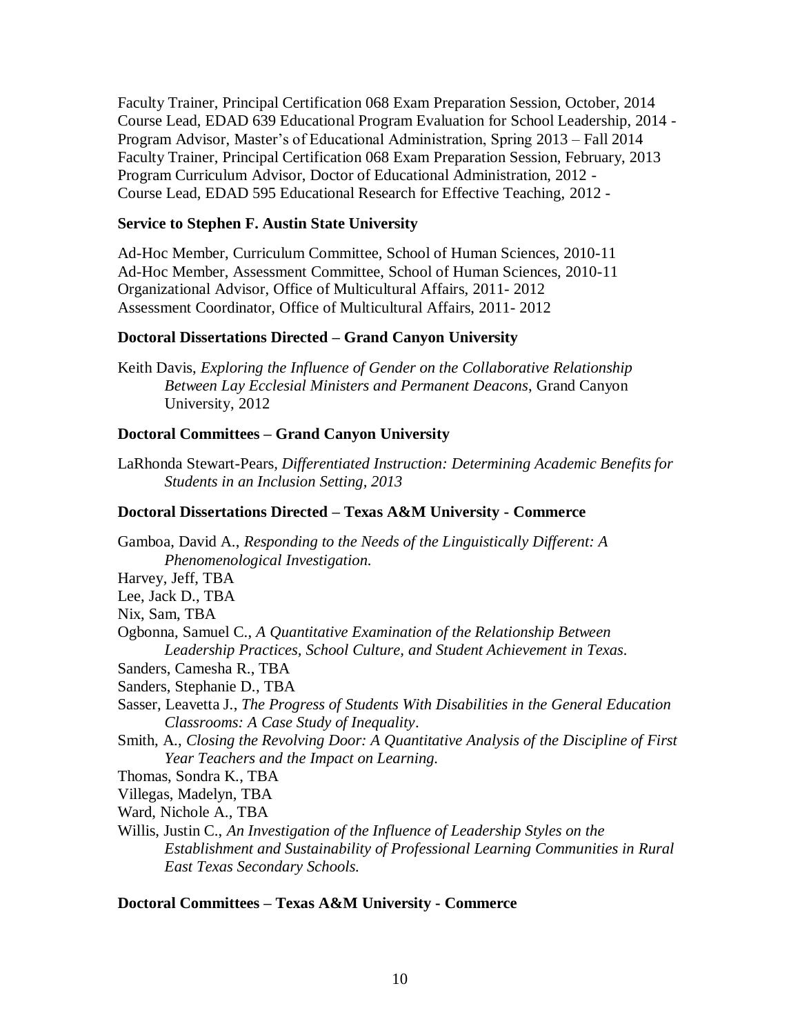Faculty Trainer, Principal Certification 068 Exam Preparation Session, October, 2014 Course Lead, EDAD 639 Educational Program Evaluation for School Leadership, 2014 - Program Advisor, Master's of Educational Administration, Spring 2013 – Fall 2014 Faculty Trainer, Principal Certification 068 Exam Preparation Session, February, 2013 Program Curriculum Advisor, Doctor of Educational Administration, 2012 - Course Lead, EDAD 595 Educational Research for Effective Teaching, 2012 -

## **Service to Stephen F. Austin State University**

Ad-Hoc Member, Curriculum Committee, School of Human Sciences, 2010-11 Ad-Hoc Member, Assessment Committee, School of Human Sciences, 2010-11 Organizational Advisor, Office of Multicultural Affairs, 2011- 2012 Assessment Coordinator, Office of Multicultural Affairs, 2011- 2012

## **Doctoral Dissertations Directed – Grand Canyon University**

Keith Davis, *Exploring the Influence of Gender on the Collaborative Relationship Between Lay Ecclesial Ministers and Permanent Deacons*, Grand Canyon University, 2012

## **Doctoral Committees – Grand Canyon University**

LaRhonda Stewart-Pears*, Differentiated Instruction: Determining Academic Benefits for Students in an Inclusion Setting, 2013*

## **Doctoral Dissertations Directed – Texas A&M University - Commerce**

Gamboa, David A., *Responding to the Needs of the Linguistically Different: A Phenomenological Investigation.*  Harvey, Jeff, TBA Lee, Jack D., TBA Nix, Sam, TBA Ogbonna, Samuel C., *A Quantitative Examination of the Relationship Between Leadership Practices, School Culture, and Student Achievement in Texas.* Sanders, Camesha R., TBA Sanders, Stephanie D., TBA Sasser, Leavetta J., *The Progress of Students With Disabilities in the General Education Classrooms: A Case Study of Inequality*. Smith, A., *Closing the Revolving Door: A Quantitative Analysis of the Discipline of First Year Teachers and the Impact on Learning.*  Thomas, Sondra K., TBA Villegas, Madelyn, TBA Ward, Nichole A., TBA Willis, Justin C., *An Investigation of the Influence of Leadership Styles on the Establishment and Sustainability of Professional Learning Communities in Rural East Texas Secondary Schools.*

### **Doctoral Committees – Texas A&M University - Commerce**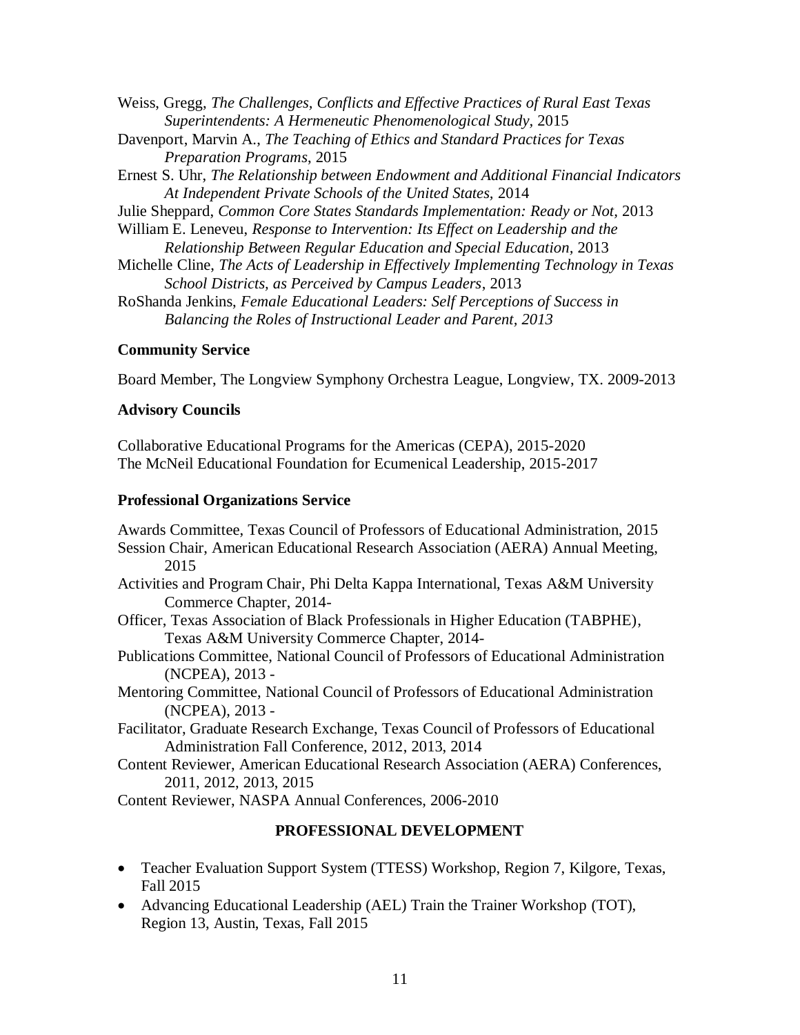Weiss, Gregg, *The Challenges, Conflicts and Effective Practices of Rural East Texas Superintendents: A Hermeneutic Phenomenological Study,* 2015 Davenport, Marvin A., *The Teaching of Ethics and Standard Practices for Texas Preparation Programs*, 2015 Ernest S. Uhr, *The Relationship between Endowment and Additional Financial Indicators At Independent Private Schools of the United States,* 2014 Julie Sheppard, *Common Core States Standards Implementation: Ready or Not,* 2013 William E. Leneveu, *Response to Intervention: Its Effect on Leadership and the Relationship Between Regular Education and Special Education,* 2013 Michelle Cline, *The Acts of Leadership in Effectively Implementing Technology in Texas School Districts, as Perceived by Campus Leaders*, 2013 RoShanda Jenkins, *Female Educational Leaders: Self Perceptions of Success in Balancing the Roles of Instructional Leader and Parent, 2013*

## **Community Service**

Board Member, The Longview Symphony Orchestra League, Longview, TX. 2009-2013

## **Advisory Councils**

Collaborative Educational Programs for the Americas (CEPA), 2015-2020 The McNeil Educational Foundation for Ecumenical Leadership, 2015-2017

## **Professional Organizations Service**

Awards Committee, Texas Council of Professors of Educational Administration, 2015 Session Chair, American Educational Research Association (AERA) Annual Meeting, 2015 Activities and Program Chair, Phi Delta Kappa International, Texas A&M University Commerce Chapter, 2014- Officer, Texas Association of Black Professionals in Higher Education (TABPHE), Texas A&M University Commerce Chapter, 2014- Publications Committee, National Council of Professors of Educational Administration (NCPEA), 2013 - Mentoring Committee, National Council of Professors of Educational Administration (NCPEA), 2013 -

Facilitator, Graduate Research Exchange, Texas Council of Professors of Educational Administration Fall Conference, 2012, 2013, 2014

Content Reviewer, American Educational Research Association (AERA) Conferences, 2011, 2012, 2013, 2015

Content Reviewer, NASPA Annual Conferences, 2006-2010

## **PROFESSIONAL DEVELOPMENT**

- Teacher Evaluation Support System (TTESS) Workshop, Region 7, Kilgore, Texas, Fall 2015
- Advancing Educational Leadership (AEL) Train the Trainer Workshop (TOT), Region 13, Austin, Texas, Fall 2015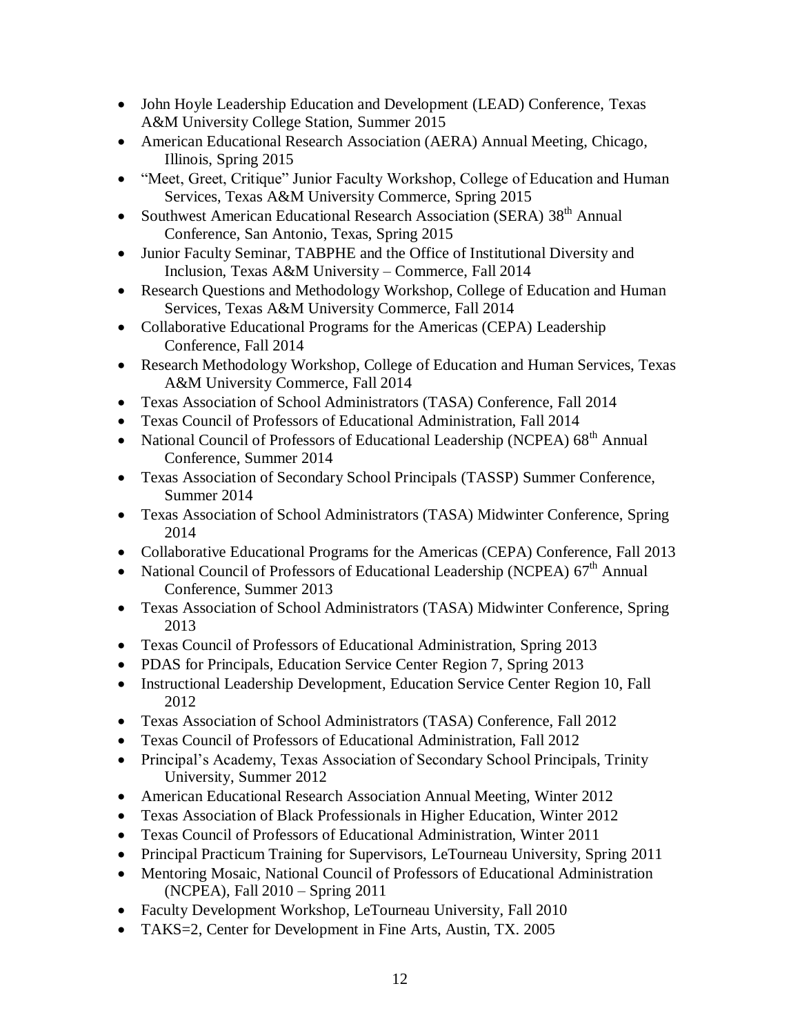- John Hoyle Leadership Education and Development (LEAD) Conference, Texas A&M University College Station, Summer 2015
- American Educational Research Association (AERA) Annual Meeting, Chicago, Illinois, Spring 2015
- "Meet, Greet, Critique" Junior Faculty Workshop, College of Education and Human Services, Texas A&M University Commerce, Spring 2015
- Southwest American Educational Research Association (SERA) 38<sup>th</sup> Annual Conference, San Antonio, Texas, Spring 2015
- Junior Faculty Seminar, TABPHE and the Office of Institutional Diversity and Inclusion, Texas A&M University – Commerce, Fall 2014
- Research Questions and Methodology Workshop, College of Education and Human Services, Texas A&M University Commerce, Fall 2014
- Collaborative Educational Programs for the Americas (CEPA) Leadership Conference, Fall 2014
- Research Methodology Workshop, College of Education and Human Services, Texas A&M University Commerce, Fall 2014
- Texas Association of School Administrators (TASA) Conference, Fall 2014
- Texas Council of Professors of Educational Administration, Fall 2014
- National Council of Professors of Educational Leadership (NCPEA)  $68<sup>th</sup>$  Annual Conference, Summer 2014
- Texas Association of Secondary School Principals (TASSP) Summer Conference, Summer 2014
- Texas Association of School Administrators (TASA) Midwinter Conference, Spring 2014
- Collaborative Educational Programs for the Americas (CEPA) Conference, Fall 2013
- National Council of Professors of Educational Leadership (NCPEA)  $67<sup>th</sup>$  Annual Conference, Summer 2013
- Texas Association of School Administrators (TASA) Midwinter Conference, Spring 2013
- Texas Council of Professors of Educational Administration, Spring 2013
- PDAS for Principals, Education Service Center Region 7, Spring 2013
- Instructional Leadership Development, Education Service Center Region 10, Fall 2012
- Texas Association of School Administrators (TASA) Conference, Fall 2012
- Texas Council of Professors of Educational Administration, Fall 2012
- Principal's Academy, Texas Association of Secondary School Principals, Trinity University, Summer 2012
- American Educational Research Association Annual Meeting, Winter 2012
- Texas Association of Black Professionals in Higher Education, Winter 2012
- Texas Council of Professors of Educational Administration, Winter 2011
- Principal Practicum Training for Supervisors, LeTourneau University, Spring 2011
- Mentoring Mosaic, National Council of Professors of Educational Administration (NCPEA), Fall 2010 – Spring 2011
- Faculty Development Workshop, LeTourneau University, Fall 2010
- TAKS=2, Center for Development in Fine Arts, Austin, TX. 2005